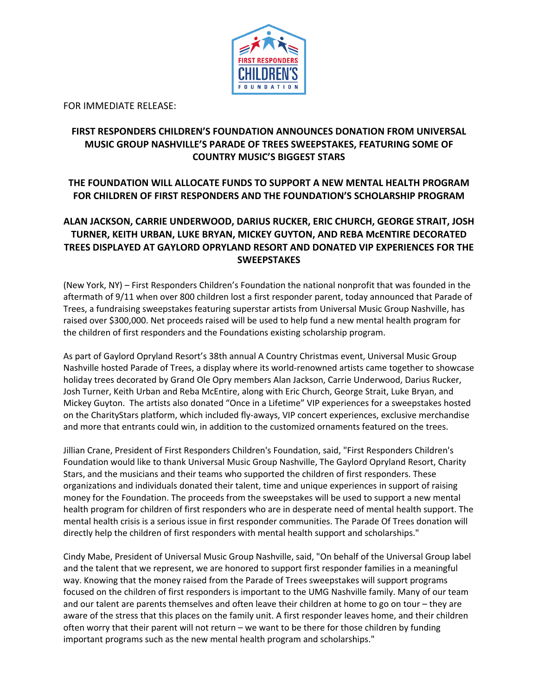

FOR IMMEDIATE RELEASE:

# **FIRST RESPONDERS CHILDREN'S FOUNDATION ANNOUNCES DONATION FROM UNIVERSAL MUSIC GROUP NASHVILLE'S PARADE OF TREES SWEEPSTAKES, FEATURING SOME OF COUNTRY MUSIC'S BIGGEST STARS**

# **THE FOUNDATION WILL ALLOCATE FUNDS TO SUPPORT A NEW MENTAL HEALTH PROGRAM FOR CHILDREN OF FIRST RESPONDERS AND THE FOUNDATION'S SCHOLARSHIP PROGRAM**

## **ALAN JACKSON, CARRIE UNDERWOOD, DARIUS RUCKER, ERIC CHURCH, GEORGE STRAIT, JOSH TURNER, KEITH URBAN, LUKE BRYAN, MICKEY GUYTON, AND REBA McENTIRE DECORATED TREES DISPLAYED AT GAYLORD OPRYLAND RESORT AND DONATED VIP EXPERIENCES FOR THE SWEEPSTAKES**

(New York, NY) – First Responders Children's Foundation the national nonprofit that was founded in the aftermath of 9/11 when over 800 children lost a first responder parent, today announced that Parade of Trees, a fundraising sweepstakes featuring superstar artists from Universal Music Group Nashville, has raised over \$300,000. Net proceeds raised will be used to help fund a new mental health program for the children of first responders and the Foundations existing scholarship program.

As part of Gaylord Opryland Resort's 38th annual A Country Christmas event, Universal Music Group Nashville hosted Parade of Trees, a display where its world-renowned artists came together to showcase holiday trees decorated by Grand Ole Opry members Alan Jackson, Carrie Underwood, Darius Rucker, Josh Turner, Keith Urban and Reba McEntire, along with Eric Church, George Strait, Luke Bryan, and Mickey Guyton. The artists also donated "Once in a Lifetime" VIP experiences for a sweepstakes hosted on the CharityStars platform, which included fly-aways, VIP concert experiences, exclusive merchandise and more that entrants could win, in addition to the customized ornaments featured on the trees.

Jillian Crane, President of First Responders Children's Foundation, said, "First Responders Children's Foundation would like to thank Universal Music Group Nashville, The Gaylord Opryland Resort, Charity Stars, and the musicians and their teams who supported the children of first responders. These organizations and individuals donated their talent, time and unique experiences in support of raising money for the Foundation. The proceeds from the sweepstakes will be used to support a new mental health program for children of first responders who are in desperate need of mental health support. The mental health crisis is a serious issue in first responder communities. The Parade Of Trees donation will directly help the children of first responders with mental health support and scholarships."

Cindy Mabe, President of Universal Music Group Nashville, said, "On behalf of the Universal Group label and the talent that we represent, we are honored to support first responder families in a meaningful way. Knowing that the money raised from the Parade of Trees sweepstakes will support programs focused on the children of first responders is important to the UMG Nashville family. Many of our team and our talent are parents themselves and often leave their children at home to go on tour – they are aware of the stress that this places on the family unit. A first responder leaves home, and their children often worry that their parent will not return – we want to be there for those children by funding important programs such as the new mental health program and scholarships."